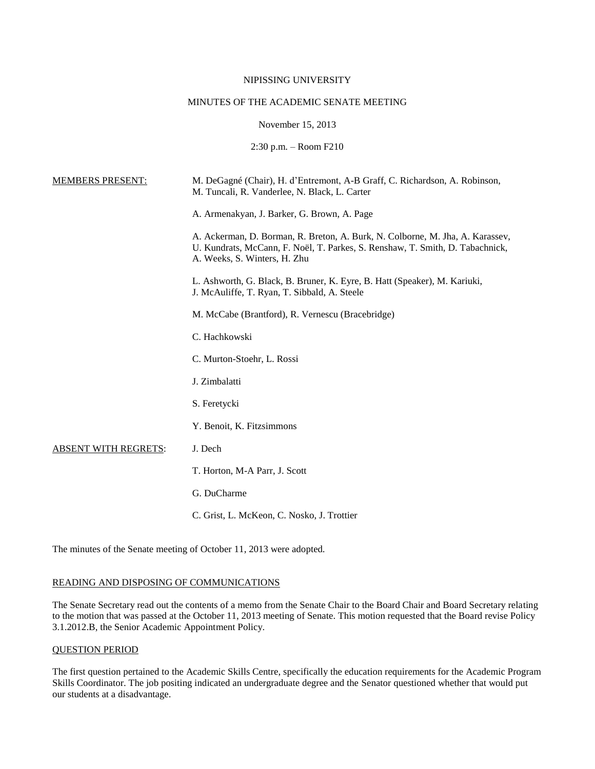## NIPISSING UNIVERSITY

# MINUTES OF THE ACADEMIC SENATE MEETING

November 15, 2013

2:30 p.m. – Room F210

| <b>MEMBERS PRESENT:</b>     | M. DeGagné (Chair), H. d'Entremont, A-B Graff, C. Richardson, A. Robinson,<br>M. Tuncali, R. Vanderlee, N. Black, L. Carter                                                                    |
|-----------------------------|------------------------------------------------------------------------------------------------------------------------------------------------------------------------------------------------|
|                             | A. Armenakyan, J. Barker, G. Brown, A. Page                                                                                                                                                    |
|                             | A. Ackerman, D. Borman, R. Breton, A. Burk, N. Colborne, M. Jha, A. Karassev,<br>U. Kundrats, McCann, F. Noël, T. Parkes, S. Renshaw, T. Smith, D. Tabachnick,<br>A. Weeks, S. Winters, H. Zhu |
|                             | L. Ashworth, G. Black, B. Bruner, K. Eyre, B. Hatt (Speaker), M. Kariuki,<br>J. McAuliffe, T. Ryan, T. Sibbald, A. Steele                                                                      |
|                             | M. McCabe (Brantford), R. Vernescu (Bracebridge)                                                                                                                                               |
|                             | C. Hachkowski                                                                                                                                                                                  |
|                             | C. Murton-Stoehr, L. Rossi                                                                                                                                                                     |
|                             | J. Zimbalatti                                                                                                                                                                                  |
|                             | S. Feretycki                                                                                                                                                                                   |
|                             | Y. Benoit, K. Fitzsimmons                                                                                                                                                                      |
| <b>ABSENT WITH REGRETS:</b> | J. Dech                                                                                                                                                                                        |
|                             | T. Horton, M-A Parr, J. Scott                                                                                                                                                                  |
|                             | G. DuCharme                                                                                                                                                                                    |
|                             | C. Grist, L. McKeon, C. Nosko, J. Trottier                                                                                                                                                     |

The minutes of the Senate meeting of October 11, 2013 were adopted.

## READING AND DISPOSING OF COMMUNICATIONS

The Senate Secretary read out the contents of a memo from the Senate Chair to the Board Chair and Board Secretary relating to the motion that was passed at the October 11, 2013 meeting of Senate. This motion requested that the Board revise Policy 3.1.2012.B, the Senior Academic Appointment Policy.

# QUESTION PERIOD

The first question pertained to the Academic Skills Centre, specifically the education requirements for the Academic Program Skills Coordinator. The job positing indicated an undergraduate degree and the Senator questioned whether that would put our students at a disadvantage.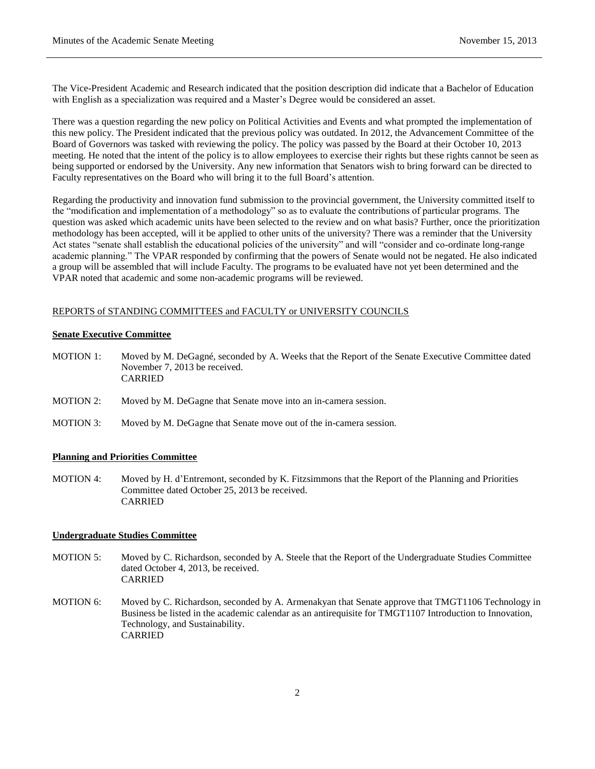The Vice-President Academic and Research indicated that the position description did indicate that a Bachelor of Education with English as a specialization was required and a Master's Degree would be considered an asset.

There was a question regarding the new policy on Political Activities and Events and what prompted the implementation of this new policy. The President indicated that the previous policy was outdated. In 2012, the Advancement Committee of the Board of Governors was tasked with reviewing the policy. The policy was passed by the Board at their October 10, 2013 meeting. He noted that the intent of the policy is to allow employees to exercise their rights but these rights cannot be seen as being supported or endorsed by the University. Any new information that Senators wish to bring forward can be directed to Faculty representatives on the Board who will bring it to the full Board's attention.

Regarding the productivity and innovation fund submission to the provincial government, the University committed itself to the "modification and implementation of a methodology" so as to evaluate the contributions of particular programs. The question was asked which academic units have been selected to the review and on what basis? Further, once the prioritization methodology has been accepted, will it be applied to other units of the university? There was a reminder that the University Act states "senate shall establish the educational policies of the university" and will "consider and co-ordinate long-range academic planning." The VPAR responded by confirming that the powers of Senate would not be negated. He also indicated a group will be assembled that will include Faculty. The programs to be evaluated have not yet been determined and the VPAR noted that academic and some non-academic programs will be reviewed.

## REPORTS of STANDING COMMITTEES and FACULTY or UNIVERSITY COUNCILS

#### **Senate Executive Committee**

- MOTION 1: Moved by M. DeGagné, seconded by A. Weeks that the Report of the Senate Executive Committee dated November 7, 2013 be received. CARRIED
- MOTION 2: Moved by M. DeGagne that Senate move into an in-camera session.
- MOTION 3: Moved by M. DeGagne that Senate move out of the in-camera session.

#### **Planning and Priorities Committee**

MOTION 4: Moved by H. d'Entremont, seconded by K. Fitzsimmons that the Report of the Planning and Priorities Committee dated October 25, 2013 be received. CARRIED

## **Undergraduate Studies Committee**

- MOTION 5: Moved by C. Richardson, seconded by A. Steele that the Report of the Undergraduate Studies Committee dated October 4, 2013, be received. CARRIED
- MOTION 6: Moved by C. Richardson, seconded by A. Armenakyan that Senate approve that TMGT1106 Technology in Business be listed in the academic calendar as an antirequisite for TMGT1107 Introduction to Innovation, Technology, and Sustainability. CARRIED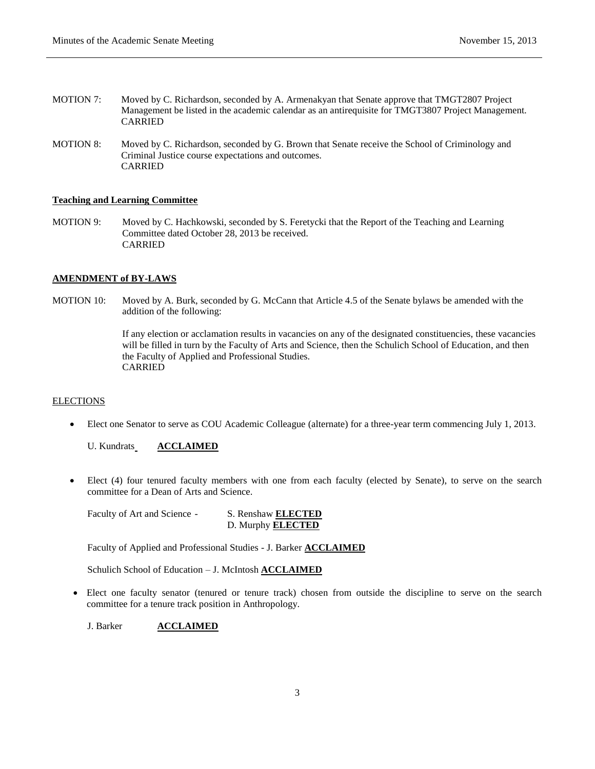- MOTION 7: Moved by C. Richardson, seconded by A. Armenakyan that Senate approve that TMGT2807 Project Management be listed in the academic calendar as an antirequisite for TMGT3807 Project Management. CARRIED
- MOTION 8: Moved by C. Richardson, seconded by G. Brown that Senate receive the School of Criminology and Criminal Justice course expectations and outcomes. CARRIED

# **Teaching and Learning Committee**

MOTION 9: Moved by C. Hachkowski, seconded by S. Feretycki that the Report of the Teaching and Learning Committee dated October 28, 2013 be received. CARRIED

## **AMENDMENT of BY-LAWS**

MOTION 10: Moved by A. Burk, seconded by G. McCann that Article 4.5 of the Senate bylaws be amended with the addition of the following:

> If any election or acclamation results in vacancies on any of the designated constituencies, these vacancies will be filled in turn by the Faculty of Arts and Science, then the Schulich School of Education, and then the Faculty of Applied and Professional Studies. CARRIED

## **ELECTIONS**

Elect one Senator to serve as COU Academic Colleague (alternate) for a three-year term commencing July 1, 2013.

U. Kundrats\_**ACCLAIMED** 

 Elect (4) four tenured faculty members with one from each faculty (elected by Senate), to serve on the search committee for a Dean of Arts and Science.

Faculty of Art and Science - S. Renshaw **ELECTED**

D. Murphy **ELECTED**

Faculty of Applied and Professional Studies - J. Barker **ACCLAIMED**

Schulich School of Education – J. McIntosh **ACCLAIMED**

 Elect one faculty senator (tenured or tenure track) chosen from outside the discipline to serve on the search committee for a tenure track position in Anthropology.

J. Barker **ACCLAIMED**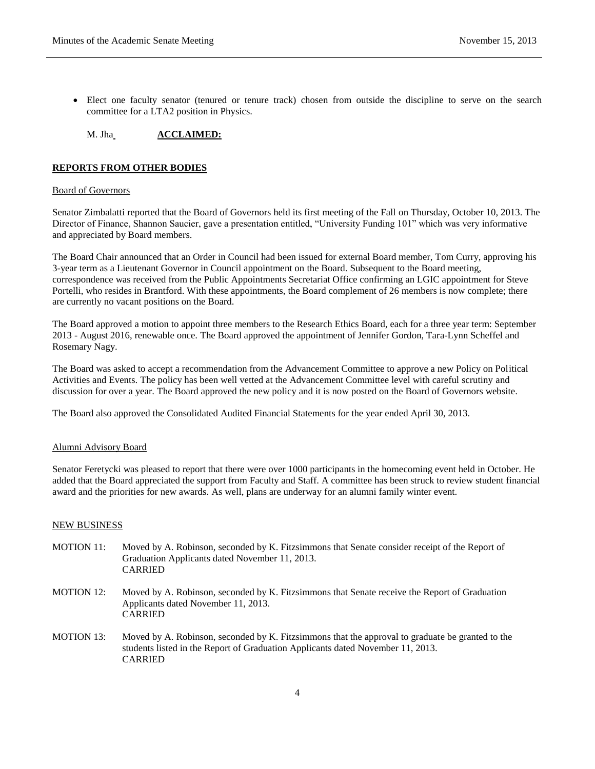Elect one faculty senator (tenured or tenure track) chosen from outside the discipline to serve on the search committee for a LTA2 position in Physics.

### M. Jha **ACCLAIMED:**

#### **REPORTS FROM OTHER BODIES**

#### Board of Governors

Senator Zimbalatti reported that the Board of Governors held its first meeting of the Fall on Thursday, October 10, 2013. The Director of Finance, Shannon Saucier, gave a presentation entitled, "University Funding 101" which was very informative and appreciated by Board members.

The Board Chair announced that an Order in Council had been issued for external Board member, Tom Curry, approving his 3-year term as a Lieutenant Governor in Council appointment on the Board. Subsequent to the Board meeting, correspondence was received from the Public Appointments Secretariat Office confirming an LGIC appointment for Steve Portelli, who resides in Brantford. With these appointments, the Board complement of 26 members is now complete; there are currently no vacant positions on the Board.

The Board approved a motion to appoint three members to the Research Ethics Board, each for a three year term: September 2013 - August 2016, renewable once. The Board approved the appointment of Jennifer Gordon, Tara-Lynn Scheffel and Rosemary Nagy.

The Board was asked to accept a recommendation from the Advancement Committee to approve a new Policy on Political Activities and Events. The policy has been well vetted at the Advancement Committee level with careful scrutiny and discussion for over a year. The Board approved the new policy and it is now posted on the Board of Governors website.

The Board also approved the Consolidated Audited Financial Statements for the year ended April 30, 2013.

#### Alumni Advisory Board

Senator Feretycki was pleased to report that there were over 1000 participants in the homecoming event held in October. He added that the Board appreciated the support from Faculty and Staff. A committee has been struck to review student financial award and the priorities for new awards. As well, plans are underway for an alumni family winter event.

#### NEW BUSINESS

- MOTION 11: Moved by A. Robinson, seconded by K. Fitzsimmons that Senate consider receipt of the Report of Graduation Applicants dated November 11, 2013. CARRIED
- MOTION 12: Moved by A. Robinson, seconded by K. Fitzsimmons that Senate receive the Report of Graduation Applicants dated November 11, 2013. CARRIED
- MOTION 13: Moved by A. Robinson, seconded by K. Fitzsimmons that the approval to graduate be granted to the students listed in the Report of Graduation Applicants dated November 11, 2013. CARRIED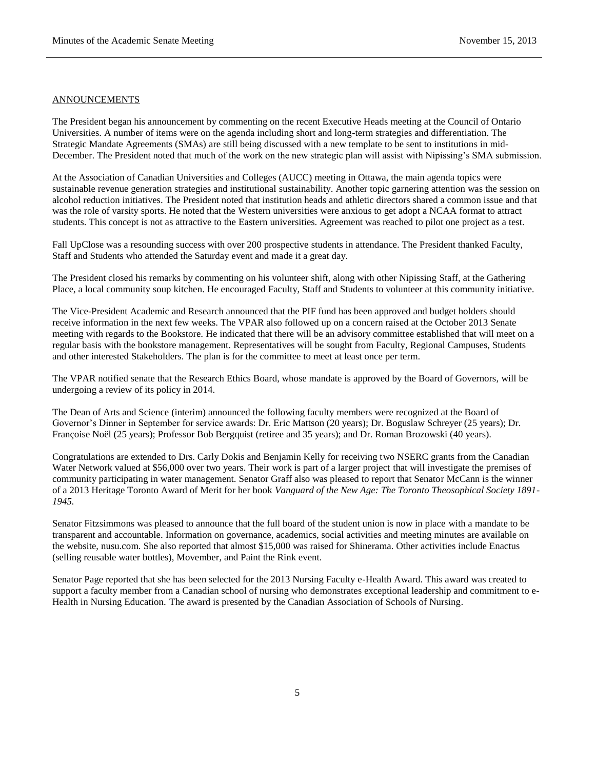#### ANNOUNCEMENTS

The President began his announcement by commenting on the recent Executive Heads meeting at the Council of Ontario Universities. A number of items were on the agenda including short and long-term strategies and differentiation. The Strategic Mandate Agreements (SMAs) are still being discussed with a new template to be sent to institutions in mid-December. The President noted that much of the work on the new strategic plan will assist with Nipissing's SMA submission.

At the Association of Canadian Universities and Colleges (AUCC) meeting in Ottawa, the main agenda topics were sustainable revenue generation strategies and institutional sustainability. Another topic garnering attention was the session on alcohol reduction initiatives. The President noted that institution heads and athletic directors shared a common issue and that was the role of varsity sports. He noted that the Western universities were anxious to get adopt a NCAA format to attract students. This concept is not as attractive to the Eastern universities. Agreement was reached to pilot one project as a test.

Fall UpClose was a resounding success with over 200 prospective students in attendance. The President thanked Faculty, Staff and Students who attended the Saturday event and made it a great day.

The President closed his remarks by commenting on his volunteer shift, along with other Nipissing Staff, at the Gathering Place, a local community soup kitchen. He encouraged Faculty, Staff and Students to volunteer at this community initiative.

The Vice-President Academic and Research announced that the PIF fund has been approved and budget holders should receive information in the next few weeks. The VPAR also followed up on a concern raised at the October 2013 Senate meeting with regards to the Bookstore. He indicated that there will be an advisory committee established that will meet on a regular basis with the bookstore management. Representatives will be sought from Faculty, Regional Campuses, Students and other interested Stakeholders. The plan is for the committee to meet at least once per term.

The VPAR notified senate that the Research Ethics Board, whose mandate is approved by the Board of Governors, will be undergoing a review of its policy in 2014.

The Dean of Arts and Science (interim) announced the following faculty members were recognized at the Board of Governor's Dinner in September for service awards: Dr. Eric Mattson (20 years); Dr. Boguslaw Schreyer (25 years); Dr. Françoise Noël (25 years); Professor Bob Bergquist (retiree and 35 years); and Dr. Roman Brozowski (40 years).

Congratulations are extended to Drs. Carly Dokis and Benjamin Kelly for receiving two NSERC grants from the Canadian Water Network valued at \$56,000 over two years. Their work is part of a larger project that will investigate the premises of community participating in water management. Senator Graff also was pleased to report that Senator McCann is the winner of a 2013 Heritage Toronto Award of Merit for her book *Vanguard of the New Age: The Toronto Theosophical Society 1891- 1945.*

Senator Fitzsimmons was pleased to announce that the full board of the student union is now in place with a mandate to be transparent and accountable. Information on governance, academics, social activities and meeting minutes are available on the website, nusu.com. She also reported that almost \$15,000 was raised for Shinerama. Other activities include Enactus (selling reusable water bottles), Movember, and Paint the Rink event.

Senator Page reported that she has been selected for the 2013 Nursing Faculty e-Health Award. This award was created to support a faculty member from a Canadian school of nursing who demonstrates exceptional leadership and commitment to e-Health in Nursing Education. The award is presented by the Canadian Association of Schools of Nursing.